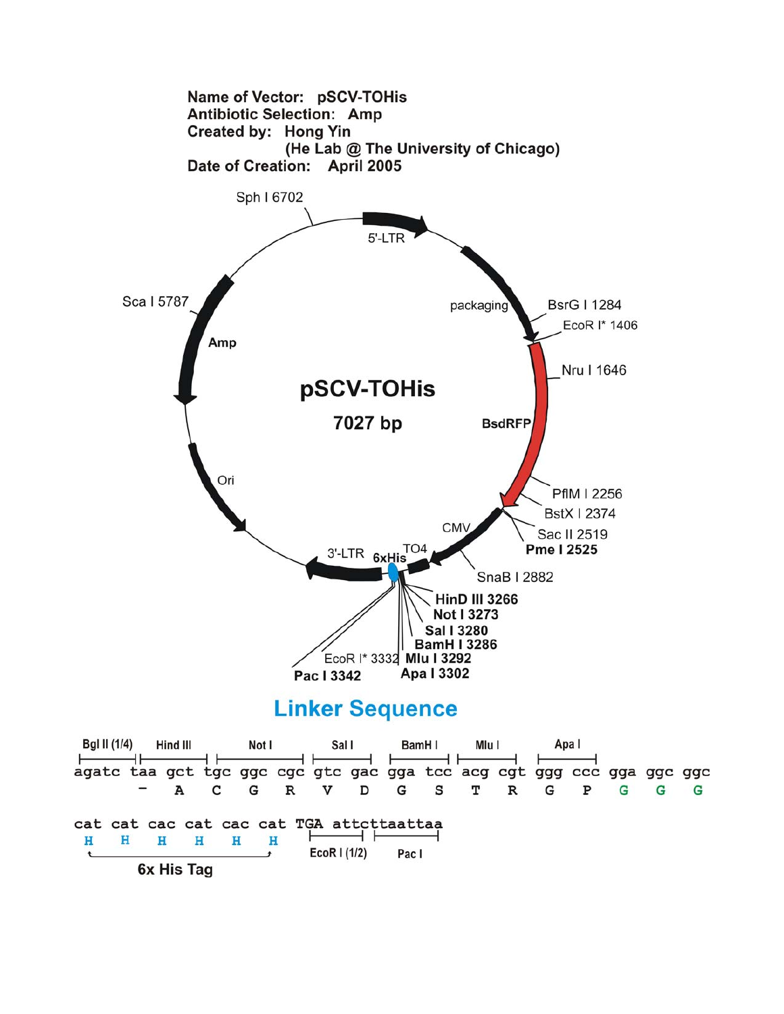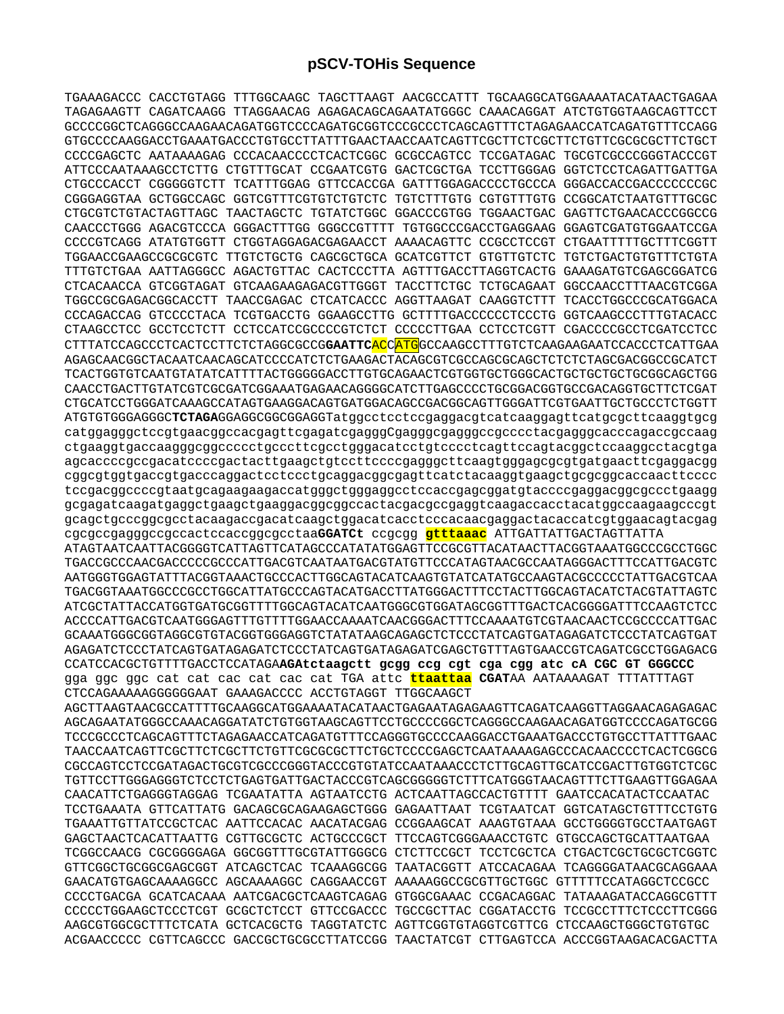TGAAAGACCC CACCTGTAGG TTTGGCAAGC TAGCTTAAGT AACGCCATTT TGCAAGGCATGGAAAATACATAACTGAGAA TAGAGAAGTT CAGATCAAGG TTAGGAACAG AGAGACAGCAGAATATGGGC CAAACAGGAT ATCTGTGGTAAGCAGTTCCT GCCCCGGCTCAGGGCCAAGAACAGATGGTCCCCAGATGCGGTCCCGCCCTCAGCAGTTTCTAGAGAACCATCAGATGTTTCCAGG GTGCCCCAAGGACCTGAAATGACCCTGTGCCTTATTTGAACTAACCAATCAGTTCGCTTCTCGCTTCTGTTCGCGCGCTTCTGCT CCCCGAGCTC AATAAAAGAG CCCACAACCCCTCACTCGGC GCGCCAGTCC TCCGATAGAC TGCGTCGCCCGGGTACCCGT ATTCCCAATAAAGCCTCTTG CTGTTTGCAT CCGAATCGTG GACTCGCTGA TCCTTGGGAG GGTCTCCTCAGATTGATTGA CTGCCCACCT CGGGGGTCTT TCATTTGGAG GTTCCACCGA GATTTGGAGACCCCTGCCCA GGGACCACCGACCCCCCCGC CGGGAGGTAA GCTGGCCAGC GGTCGTTTCGTGTCTGTCTC TGTCTTTGTG CGTGTTTGTG CCGGCATCTAATGTTTGCGC CTGCGTCTGTACTAGTTAGC TAACTAGCTC TGTATCTGGC GGACCCGTGG TGGAACTGAC GAGTTCTGAACACCCGGCCG CAACCCTGGG AGACGTCCCA GGGACTTTGG GGGCCGTTTT TGTGGCCCGACCTGAGGAAG GGAGTCGATGTGGAATCCGA CCCCGTCAGG ATATGTGGTT CTGGTAGGAGACGAGAACCT AAAACAGTTC CCGCCTCCGT CTGAATTTTTGCTTTCGGTT TGGAACCGAAGCCGCGCGTC TTGTCTGCTG CAGCGCTGCA GCATCGTTCT GTGTTGTCTC TGTCTGACTGTGTTTCTGTA TTTGTCTGAA AATTAGGGCC AGACTGTTAC CACTCCCTTA AGTTTGACCTTAGGTCACTG GAAAGATGTCGAGCGGATCG CTCACAACCA GTCGGTAGAT GTCAAGAAGAGACGTTGGGT TACCTTCTGC TCTGCAGAAT GGCCAACCTTTAACGTCGGA TGGCCGCGAGACGGCACCTT TAACCGAGAC CTCATCACCC AGGTTAAGAT CAAGGTCTTT TCACCTGGCCCGCATGGACA CCCAGACCAG GTCCCCTACA TCGTGACCTG GGAAGCCTTG GCTTTTGACCCCCCTCCCTG GGTCAAGCCCTTTGTACACC CTAAGCCTCC GCCTCCTCTT CCTCCATCCGCCCCGTCTCT CCCCCTTGAA CCTCCTCGTT CGACCCCGCCTCGATCCTCC CTTTATCCAGCCCTCACTCCTTCTCTAGGCGCCG**GAATTC**ACCATGGCCAAGCCTTTGTCTCAAGAAGAATCCACCCTCATTGAA AGAGCAACGGCTACAATCAACAGCATCCCCATCTCTGAAGACTACAGCGTCGCCAGCGCAGCTCTCTCTAGCGACGGCCGCATCT TCACTGGTGTCAATGTATATCATTTTACTGGGGGACCTTGTGCAGAACTCGTGGTGCTGGGCACTGCTGCTGCTGCGGCAGCTGG CAACCTGACTTGTATCGTCGCGATCGGAAATGAGAACAGGGGCATCTTGAGCCCCTGCGGACGGTGCCGACAGGTGCTTCTCGAT CTGCATCCTGGGATCAAAGCCATAGTGAAGGACAGTGATGGACAGCCGACGGCAGTTGGGATTCGTGAATTGCTGCCCTCTGGTT ATGTGTGGGAGGGC**TCTAGA**GGAGGCGGCGGAGGTatggcctcctccgaggacgtcatcaaggagttcatgcgcttcaaggtgcg catggagggctccgtgaacggccacgagttcgagatcgagggCgagggcgagggccgcccctacgagggcacccagaccgccaag ctgaaggtgaccaagggcggccccctgcccttcgcctgggacatcctgtcccctcagttccagtacggctccaaggcctacgtga agcaccccgccgacatccccgactacttgaagctgtccttccccgagggcttcaagtgggagcgcgtgatgaacttcgaggacgg cggcgtggtgaccgtgacccaggactcctccctgcaggacggcgagttcatctacaaggtgaagctgcgcggcaccaacttcccc tccgacggccccgtaatgcagaagaagaccatgggctgggaggcctccaccgagcggatgtaccccgaggacggcgccctgaagg gcgagatcaagatgaggctgaagctgaaggacggcggccactacgacgccgaggtcaagaccacctacatggccaagaagcccgt gcagctgcccggcgcctacaagaccgacatcaagctggacatcacctcccacaacgaggactacaccatcgtggaacagtacgag cgcgccgagggccgccactccaccggcgcctaa**GGATCt** ccgcgg **gtttaaac** ATTGATTATTGACTAGTTATTA ATAGTAATCAATTACGGGGTCATTAGTTCATAGCCCATATATGGAGTTCCGCGTTACATAACTTACGGTAAATGGCCCGCCTGGC TGACCGCCCAACGACCCCCGCCCATTGACGTCAATAATGACGTATGTTCCCATAGTAACGCCAATAGGGACTTTCCATTGACGTC AATGGGTGGAGTATTTACGGTAAACTGCCCACTTGGCAGTACATCAAGTGTATCATATGCCAAGTACGCCCCCTATTGACGTCAA TGACGGTAAATGGCCCGCCTGGCATTATGCCCAGTACATGACCTTATGGGACTTTCCTACTTGGCAGTACATCTACGTATTAGTC ATCGCTATTACCATGGTGATGCGGTTTTGGCAGTACATCAATGGGCGTGGATAGCGGTTTGACTCACGGGGATTTCCAAGTCTCC ACCCCATTGACGTCAATGGGAGTTTGTTTTGGAACCAAAATCAACGGGACTTTCCAAAATGTCGTAACAACTCCGCCCCATTGAC GCAAATGGGCGGTAGGCGTGTACGGTGGGAGGTCTATATAAGCAGAGCTCTCCCTATCAGTGATAGAGATCTCCCTATCAGTGAT AGAGATCTCCCTATCAGTGATAGAGATCTCCCTATCAGTGATAGAGATCGAGCTGTTTAGTGAACCGTCAGATCGCCTGGAGACG CCATCCACGCTGTTTTGACCTCCATAGA**AGAtctaagctt gcgg ccg cgt cga cgg atc cA CGC GT GGGCCC**  gga ggc ggc cat cat cac cat cac cat TGA attc **ttaattaa CGAT**AA AATAAAAGAT TTTATTTAGT CTCCAGAAAAAGGGGGGAAT GAAAGACCCC ACCTGTAGGT TTGGCAAGCT AGCTTAAGTAACGCCATTTTGCAAGGCATGGAAAATACATAACTGAGAATAGAGAAGTTCAGATCAAGGTTAGGAACAGAGAGAC AGCAGAATATGGGCCAAACAGGATATCTGTGGTAAGCAGTTCCTGCCCCGGCTCAGGGCCAAGAACAGATGGTCCCCAGATGCGG TCCCGCCCTCAGCAGTTTCTAGAGAACCATCAGATGTTTCCAGGGTGCCCCAAGGACCTGAAATGACCCTGTGCCTTATTTGAAC TAACCAATCAGTTCGCTTCTCGCTTCTGTTCGCGCGCTTCTGCTCCCCGAGCTCAATAAAAGAGCCCACAACCCCTCACTCGGCG CGCCAGTCCTCCGATAGACTGCGTCGCCCGGGTACCCGTGTATCCAATAAACCCTCTTGCAGTTGCATCCGACTTGTGGTCTCGC TGTTCCTTGGGAGGGTCTCCTCTGAGTGATTGACTACCCGTCAGCGGGGGTCTTTCATGGGTAACAGTTTCTTGAAGTTGGAGAA CAACATTCTGAGGGTAGGAG TCGAATATTA AGTAATCCTG ACTCAATTAGCCACTGTTTT GAATCCACATACTCCAATAC TCCTGAAATA GTTCATTATG GACAGCGCAGAAGAGCTGGG GAGAATTAAT TCGTAATCAT GGTCATAGCTGTTTCCTGTG TGAAATTGTTATCCGCTCAC AATTCCACAC AACATACGAG CCGGAAGCAT AAAGTGTAAA GCCTGGGGTGCCTAATGAGT GAGCTAACTCACATTAATTG CGTTGCGCTC ACTGCCCGCT TTCCAGTCGGGAAACCTGTC GTGCCAGCTGCATTAATGAA TCGGCCAACG CGCGGGGAGA GGCGGTTTGCGTATTGGGCG CTCTTCCGCT TCCTCGCTCA CTGACTCGCTGCGCTCGGTC GTTCGGCTGCGGCGAGCGGT ATCAGCTCAC TCAAAGGCGG TAATACGGTT ATCCACAGAA TCAGGGGATAACGCAGGAAA GAACATGTGAGCAAAAGGCC AGCAAAAGGC CAGGAACCGT AAAAAGGCCGCGTTGCTGGC GTTTTTCCATAGGCTCCGCC CCCCTGACGA GCATCACAAA AATCGACGCTCAAGTCAGAG GTGGCGAAAC CCGACAGGAC TATAAAGATACCAGGCGTTT CCCCCTGGAAGCTCCCTCGT GCGCTCTCCT GTTCCGACCC TGCCGCTTAC CGGATACCTG TCCGCCTTTCTCCCTTCGGG AAGCGTGGCGCTTTCTCATA GCTCACGCTG TAGGTATCTC AGTTCGGTGTAGGTCGTTCG CTCCAAGCTGGGCTGTGTGC ACGAACCCCC CGTTCAGCCC GACCGCTGCGCCTTATCCGG TAACTATCGT CTTGAGTCCA ACCCGGTAAGACACGACTTA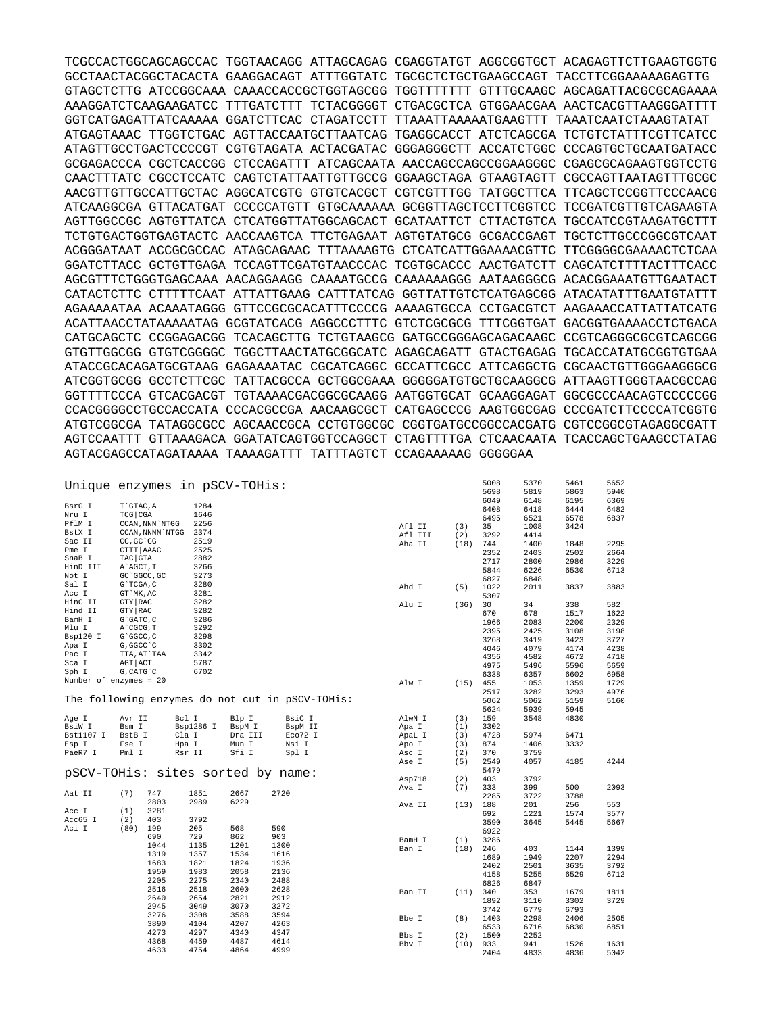TCGCCACTGGCAGCAGCCAC TGGTAACAGG ATTAGCAGAG CGAGGTATGT AGGCGGTGCT ACAGAGTTCTTGAAGTGGTG GCCTAACTACGGCTACACTA GAAGGACAGT ATTTGGTATC TGCGCTCTGCTGAAGCCAGT TACCTTCGGAAAAAGAGTTG GTAGCTCTTG ATCCGGCAAA CAAACCACCGCTGGTAGCGG TGGTTTTTTT GTTTGCAAGC AGCAGATTACGCGCAGAAAA AAAGGATCTCAAGAAGATCC TTTGATCTTT TCTACGGGGT CTGACGCTCA GTGGAACGAA AACTCACGTTAAGGGATTTT GGTCATGAGATTATCAAAAA GGATCTTCAC CTAGATCCTT TTAAATTAAAAATGAAGTTT TAAATCAATCTAAAGTATAT ATGAGTAAAC TTGGTCTGAC AGTTACCAATGCTTAATCAG TGAGGCACCT ATCTCAGCGA TCTGTCTATTTCGTTCATCC ATAGTTGCCTGACTCCCCGT CGTGTAGATA ACTACGATAC GGGAGGGCTT ACCATCTGGC CCCAGTGCTGCAATGATACC GCGAGACCCA CGCTCACCGG CTCCAGATTT ATCAGCAATA AACCAGCCAGCCGGAAGGGC CGAGCGCAGAAGTGGTCCTG CAACTTTATC CGCCTCCATC CAGTCTATTAATTGTTGCCG GGAAGCTAGA GTAAGTAGTT CGCCAGTTAATAGTTTGCGC AACGTTGTTGCCATTGCTAC AGGCATCGTG GTGTCACGCT CGTCGTTTGG TATGGCTTCA TTCAGCTCCGGTTCCCAACG ATCAAGGCGA GTTACATGAT CCCCCATGTT GTGCAAAAAA GCGGTTAGCTCCTTCGGTCC TCCGATCGTTGTCAGAAGTA AGTTGGCCGC AGTGTTATCA CTCATGGTTATGGCAGCACT GCATAATTCT CTTACTGTCA TGCCATCCGTAAGATGCTTT TCTGTGACTGGTGAGTACTC AACCAAGTCA TTCTGAGAAT AGTGTATGCG GCGACCGAGT TGCTCTTGCCCGGCGTCAAT ACGGGATAAT ACCGCGCCAC ATAGCAGAAC TTTAAAAGTG CTCATCATTGGAAAACGTTC TTCGGGGCGAAAACTCTCAA GGATCTTACC GCTGTTGAGA TCCAGTTCGATGTAACCCAC TCGTGCACCC AACTGATCTT CAGCATCTTTTACTTTCACC AGCGTTTCTGGGTGAGCAAA AACAGGAAGG CAAAATGCCG CAAAAAAGGG AATAAGGGCG ACACGGAAATGTTGAATACT CATACTCTTC CTTTTTCAAT ATTATTGAAG CATTTATCAG GGTTATTGTCTCATGAGCGG ATACATATTTGAATGTATTT AGAAAAATAA ACAAATAGGG GTTCCGCGCACATTTCCCCG AAAAGTGCCA CCTGACGTCT AAGAAACCATTATTATCATG ACATTAACCTATAAAAATAG GCGTATCACG AGGCCCTTTC GTCTCGCGCG TTTCGGTGAT GACGGTGAAAACCTCTGACA CATGCAGCTC CCGGAGACGG TCACAGCTTG TCTGTAAGCG GATGCCGGGAGCAGACAAGC CCGTCAGGGCGCGTCAGCGG GTGTTGGCGG GTGTCGGGGC TGGCTTAACTATGCGGCATC AGAGCAGATT GTACTGAGAG TGCACCATATGCGGTGTGAA ATACCGCACAGATGCGTAAG GAGAAAATAC CGCATCAGGC GCCATTCGCC ATTCAGGCTG CGCAACTGTTGGGAAGGGCG ATCGGTGCGG GCCTCTTCGC TATTACGCCA GCTGGCGAAA GGGGGATGTGCTGCAAGGCG ATTAAGTTGGGTAACGCCAG GGTTTTCCCA GTCACGACGT TGTAAAACGACGGCGCAAGG AATGGTGCAT GCAAGGAGAT GGCGCCCAACAGTCCCCCGG CCACGGGGCCTGCCACCATA CCCACGCCGA AACAAGCGCT CATGAGCCCG AAGTGGCGAG CCCGATCTTCCCCATCGGTG ATGTCGGCGA TATAGGCGCC AGCAACCGCA CCTGTGGCGC CGGTGATGCCGGCCACGATG CGTCCGGCGTAGAGGCGATT AGTCCAATTT GTTAAAGACA GGATATCAGTGGTCCAGGCT CTAGTTTTGA CTCAACAATA TCACCAGCTGAAGCCTATAG AGTACGAGCCATAGATAAAA TAAAAGATTT TATTTAGTCT CCAGAAAAAG GGGGGAA

|                        |                  | Unique enzymes in pSCV-TOHis:     |         |                                                 |         |      | 5008 | 5370 | 5461 | 5652 |
|------------------------|------------------|-----------------------------------|---------|-------------------------------------------------|---------|------|------|------|------|------|
|                        |                  |                                   |         |                                                 |         |      | 5698 | 5819 | 5863 | 5940 |
|                        |                  |                                   |         |                                                 |         |      | 6049 | 6148 | 6195 | 6369 |
| BsrG I                 | T`GTAC, A        | 1284                              |         |                                                 |         |      | 6408 | 6418 | 6444 | 6482 |
| Nru I                  | TCG CGA          | 1646                              |         |                                                 |         |      | 6495 | 6521 | 6578 | 6837 |
| PflM I                 | CCAN, NNN `NTGG  | 2256                              |         |                                                 | Afl II  | (3)  | 35   | 1008 | 3424 |      |
| BstX I                 | CCAN, NNNN `NTGG | 2374                              |         |                                                 | Afl III | (2)  | 3292 | 4414 |      |      |
| Sac II                 | CC, GC `GG       | 2519                              |         |                                                 |         | (18) | 744  | 1400 | 1848 | 2295 |
| Pme I                  | CTTT AAAC        | 2525                              |         |                                                 | Aha II  |      |      |      |      |      |
| SnaB I                 | TAC GTA          | 2882                              |         |                                                 |         |      | 2352 | 2403 | 2502 | 2664 |
| HinD III               | A`AGCT, T        | 3266                              |         |                                                 |         |      | 2717 | 2800 | 2986 | 3229 |
|                        |                  |                                   |         |                                                 |         |      | 5844 | 6226 | 6530 | 6713 |
| Not I                  | GC `GGCC, GC     | 3273                              |         |                                                 |         |      | 6827 | 6848 |      |      |
| Sal I                  | G`TCGA, C        | 3280                              |         |                                                 | Ahd I   | (5)  | 1022 | 2011 | 3837 | 3883 |
| Acc I                  | GT `MK, AC       | 3281                              |         |                                                 |         |      | 5307 |      |      |      |
| HinC II                | GTY RAC          | 3282                              |         |                                                 | Alu I   | (36) | 30   | 34   | 338  | 582  |
| Hind II                | GTY RAC          | 3282                              |         |                                                 |         |      | 670  | 678  | 1517 | 1622 |
| BamH I                 | G`GATC, C        | 3286                              |         |                                                 |         |      | 1966 | 2083 | 2200 | 2329 |
| Mlu I                  | A`CGCG, T        | 3292                              |         |                                                 |         |      | 2395 | 2425 | 3108 | 3198 |
| Bsp120 I               | G`GGCC, C        | 3298                              |         |                                                 |         |      | 3268 | 3419 | 3423 |      |
| Apa I                  | G, GGCC `C       | 3302                              |         |                                                 |         |      |      |      |      | 3727 |
| Pac I                  | TTA, AT`TAA      | 3342                              |         |                                                 |         |      | 4046 | 4079 | 4174 | 4238 |
| Sca I                  | AGT ACT          | 5787                              |         |                                                 |         |      | 4356 | 4582 | 4672 | 4718 |
| Sph I                  | G, CATG C        | 6702                              |         |                                                 |         |      | 4975 | 5496 | 5596 | 5659 |
|                        |                  |                                   |         |                                                 |         |      | 6338 | 6357 | 6602 | 6958 |
| Number of enzymes = 20 |                  |                                   |         |                                                 | Alw I   | (15) | 455  | 1053 | 1359 | 1729 |
|                        |                  |                                   |         |                                                 |         |      | 2517 | 3282 | 3293 | 4976 |
|                        |                  |                                   |         | The following enzymes do not cut in pSCV-TOHis: |         |      | 5062 | 5062 | 5159 | 5160 |
|                        |                  |                                   |         |                                                 |         |      | 5624 | 5939 | 5945 |      |
| Age I                  | Avr II           | Bcl I                             | Blp I   | BsiC I                                          | AlwN I  | (3)  | 159  | 3548 | 4830 |      |
| BsiW I                 | Bsm I            | Bsp1286 I                         | BspM I  | BspM II                                         | Apa I   | (1)  | 3302 |      |      |      |
| Bst1107 I              | BstB I           | Cla I                             | Dra III | Eco72 I                                         | ApaL I  | (3)  | 4728 | 5974 | 6471 |      |
| Esp I                  | Fse I            | Hpa I                             | Mun I   | Nsi I                                           | Apo I   | (3)  | 874  | 1406 | 3332 |      |
|                        |                  |                                   |         |                                                 |         |      |      |      |      |      |
| PaeR7 I                | Pml I            | Rsr II                            | Sfi I   | Spl I                                           | Asc I   | (2)  | 370  | 3759 |      |      |
|                        |                  |                                   |         |                                                 | Ase I   | (5)  | 2549 | 4057 | 4185 | 4244 |
|                        |                  | pSCV-TOHis: sites sorted by name: |         |                                                 |         |      | 5479 |      |      |      |
|                        |                  |                                   |         |                                                 | Asp718  | (2)  | 403  | 3792 |      |      |
|                        |                  |                                   |         |                                                 | Ava I   | (7)  | 333  | 399  | 500  | 2093 |
| Aat II                 | (7)<br>747       | 1851                              | 2667    | 2720                                            |         |      | 2285 | 3722 | 3788 |      |
|                        | 2803             | 2989                              | 6229    |                                                 | Ava II  | (13) | 188  | 201  | 256  | 553  |
| Acc I                  | 3281<br>(1)      |                                   |         |                                                 |         |      | 692  | 1221 | 1574 | 3577 |
| Acc65 I                | 403<br>(2)       | 3792                              |         |                                                 |         |      | 3590 | 3645 | 5445 | 5667 |
| Aci I                  | 199<br>(80)      | 205                               | 568     | 590                                             |         |      | 6922 |      |      |      |
|                        | 690              | 729                               | 862     | 903                                             | BamH I  | (1)  | 3286 |      |      |      |
|                        | 1044             | 1135                              | 1201    | 1300                                            |         |      |      |      |      |      |
|                        | 1319             | 1357                              | 1534    | 1616                                            | Ban I   | (18) | 246  | 403  | 1144 | 1399 |
|                        | 1683             | 1821                              | 1824    | 1936                                            |         |      | 1689 | 1949 | 2207 | 2294 |
|                        | 1959             | 1983                              | 2058    | 2136                                            |         |      | 2402 | 2501 | 3635 | 3792 |
|                        | 2205             | 2275                              | 2340    | 2488                                            |         |      | 4158 | 5255 | 6529 | 6712 |
|                        |                  |                                   |         |                                                 |         |      | 6826 | 6847 |      |      |
|                        | 2516             | 2518                              | 2600    | 2628                                            | Ban II  | (11) | 340  | 353  | 1679 | 1811 |
|                        | 2640             | 2654                              | 2821    | 2912                                            |         |      | 1892 | 3110 | 3302 | 3729 |
|                        | 2945             | 3049                              | 3070    | 3272                                            |         |      | 3742 | 6779 | 6793 |      |
|                        | 3276             | 3308                              | 3588    | 3594                                            | Bbe I   | (8)  | 1403 | 2298 | 2406 | 2505 |
|                        | 3890             | 4104                              | 4207    | 4263                                            |         |      | 6533 | 6716 | 6830 | 6851 |
|                        | 4273             | 4297                              | 4340    | 4347                                            | Bbs I   | (2)  | 1500 | 2252 |      |      |
|                        | 4368             | 4459                              | 4487    | 4614                                            |         |      |      |      |      |      |
|                        | 4633             | 4754                              | 4864    | 4999                                            | Bbv I   | (10) | 933  | 941  | 1526 | 1631 |
|                        |                  |                                   |         |                                                 |         |      | 2404 | 4833 | 4836 | 5042 |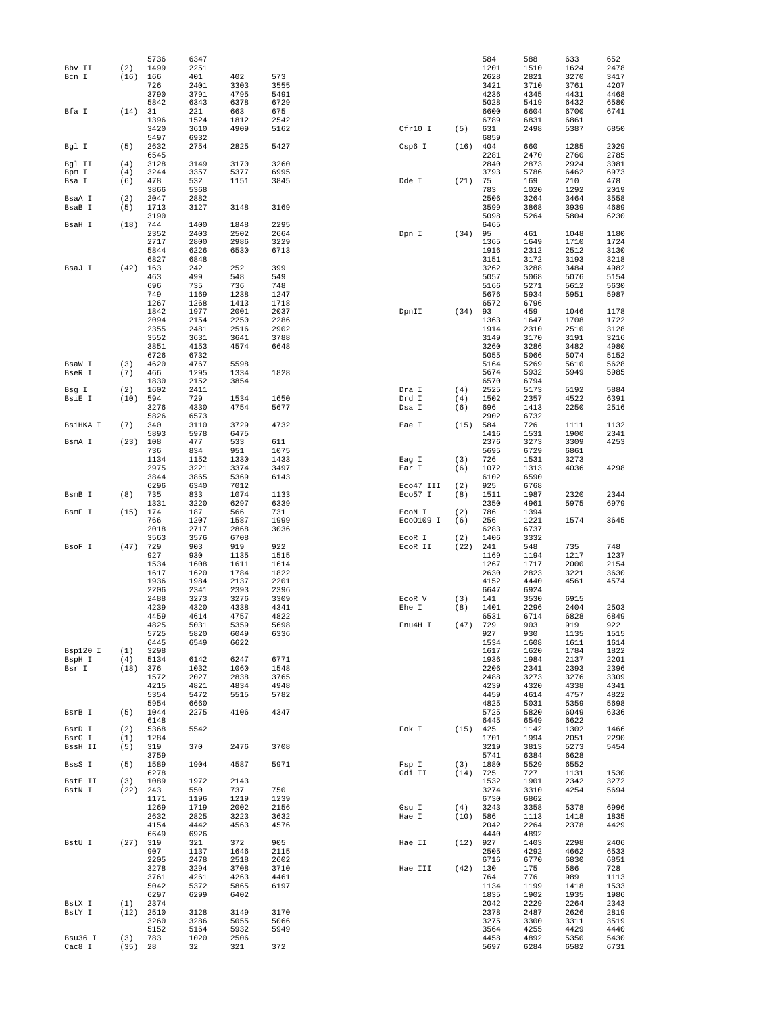|                   |                  | 5736         | 6347         |              |              |                |            | 584          | 588          | 633          | 652          |
|-------------------|------------------|--------------|--------------|--------------|--------------|----------------|------------|--------------|--------------|--------------|--------------|
| Bby II            | (2)              | 1499         | 2251         |              |              |                |            | 1201         | 1510         | 1624         | 2478         |
| Bcn I             | (16)             | 166          | 401          | 402          | 573          |                |            | 2628         | 2821         | 3270         | 3417         |
|                   |                  | 726<br>3790  | 2401<br>3791 | 3303<br>4795 | 3555<br>5491 |                |            | 3421<br>4236 | 3710<br>4345 | 3761<br>4431 | 4207<br>4468 |
|                   |                  | 5842         | 6343         | 6378         | 6729         |                |            | 5028         | 5419         | 6432         | 6580         |
| Bfa I             | (14)             | 31           | 221          | 663          | 675          |                |            | 6600         | 6604         | 6700         | 6741         |
|                   |                  | 1396         | 1524         | 1812         | 2542         |                |            | 6789         | 6831         | 6861         |              |
|                   |                  | 3420         | 3610         | 4909         | 5162         | Cfr10 I        | (5)        | 631          | 2498         | 5387         | 6850         |
|                   |                  | 5497         | 6932         |              |              |                |            | 6859         |              |              |              |
| Bgl I             | (5)              | 2632         | 2754         | 2825         | 5427         | Csp6 I         | (16)       | 404          | 660          | 1285         | 2029         |
|                   |                  | 6545         |              |              |              |                |            | 2281         | 2470         | 2760         | 2785         |
| Bgl II            | (4)              | 3128         | 3149         | 3170         | 3260         |                |            | 2840         | 2873         | 2924         | 3081         |
| Bpm I             | (4)              | 3244         | 3357         | 5377         | 6995         |                |            | 3793         | 5786         | 6462         | 6973         |
| Bsa I             | (6)              | 478<br>3866  | 532<br>5368  | 1151         | 3845         | Dde I          | (21)       | 75<br>783    | 169<br>1020  | 210<br>1292  | 478<br>2019  |
| BsaA I            | (2)              | 2047         | 2882         |              |              |                |            | 2506         | 3264         | 3464         | 3558         |
| BsaB I            | (5)              | 1713         | 3127         | 3148         | 3169         |                |            | 3599         | 3868         | 3939         | 4689         |
|                   |                  | 3190         |              |              |              |                |            | 5098         | 5264         | 5804         | 6230         |
| BsaH I            | (18)             | 744          | 1400         | 1848         | 2295         |                |            | 6465         |              |              |              |
|                   |                  | 2352         | 2403         | 2502         | 2664         | Dpn I          | (34)       | 95           | 461          | 1048         | 1180         |
|                   |                  | 2717         | 2800         | 2986         | 3229         |                |            | 1365         | 1649         | 1710         | 1724         |
|                   |                  | 5844         | 6226         | 6530         | 6713         |                |            | 1916         | 2312         | 2512         | 3130         |
|                   |                  | 6827         | 6848         |              |              |                |            | 3151         | 3172         | 3193         | 3218         |
| BsaJ I            | (42)             | 163          | 242          | 252          | 399          |                |            | 3262         | 3288         | 3484         | 4982         |
|                   |                  | 463          | 499          | 548          | 549          |                |            | 5057         | 5068         | 5076         | 5154         |
|                   |                  | 696<br>749   | 735<br>1169  | 736<br>1238  | 748<br>1247  |                |            | 5166<br>5676 | 5271<br>5934 | 5612<br>5951 | 5630<br>5987 |
|                   |                  | 1267         | 1268         | 1413         | 1718         |                |            | 6572         | 6796         |              |              |
|                   |                  | 1842         | 1977         | 2001         | 2037         | DpnII          | (34)       | 93           | 459          | 1046         | 1178         |
|                   |                  | 2094         | 2154         | 2250         | 2286         |                |            | 1363         | 1647         | 1708         | 1722         |
|                   |                  | 2355         | 2481         | 2516         | 2902         |                |            | 1914         | 2310         | 2510         | 3128         |
|                   |                  | 3552         | 3631         | 3641         | 3788         |                |            | 3149         | 3170         | 3191         | 3216         |
|                   |                  | 3851         | 4153         | 4574         | 6648         |                |            | 3260         | 3286         | 3482         | 4980         |
|                   |                  | 6726         | 6732         |              |              |                |            | 5055         | 5066         | 5074         | 5152         |
| BsaW I            | (3)              | 4620         | 4767         | 5598         |              |                |            | 5164         | 5269         | 5610         | 5628         |
| BseR I            | (7)              | 466          | 1295         | 1334         | 1828         |                |            | 5674         | 5932         | 5949         | 5985         |
|                   |                  | 1830         | 2152<br>2411 | 3854         |              |                |            | 6570         | 6794         |              |              |
| Bsq I<br>BsiE I   | (2)<br>(10)      | 1602<br>594  | 729          | 1534         | 1650         | Dra I<br>Drd I | (4)<br>(4) | 2525<br>1502 | 5173<br>2357 | 5192<br>4522 | 5884<br>6391 |
|                   |                  | 3276         | 4330         | 4754         | 5677         | Dsa I          | (6)        | 696          | 1413         | 2250         | 2516         |
|                   |                  | 5826         | 6573         |              |              |                |            | 2902         | 6732         |              |              |
| BsiHKA I          | (7)              | 340          | 3110         | 3729         | 4732         | Eae I          | (15)       | 584          | 726          | 1111         | 1132         |
|                   |                  | 5893         | 5978         | 6475         |              |                |            | 1416         | 1531         | 1900         | 2341         |
| BsmA I            | (23)             | 108          | 477          | 533          | 611          |                |            | 2376         | 3273         | 3309         | 4253         |
|                   |                  | 736          | 834          | 951          | 1075         |                |            | 5695         | 6729         | 6861         |              |
|                   |                  | 1134         | 1152         | 1330         | 1433         | Eag I          | (3)        | 726          | 1531         | 3273         |              |
|                   |                  | 2975         | 3221         | 3374         | 3497         | Ear I          | (6)        | 1072         | 1313         | 4036         | 4298         |
|                   |                  | 3844         | 3865         | 5369         | 6143         |                |            | 6102         | 6590         |              |              |
|                   | (8)              | 6296         | 6340         | 7012<br>1074 | 1133         | Eco47 III      | (2)        | 925          | 6768<br>1987 | 2320         | 2344         |
| BsmB I            |                  | 735          | 833          |              |              | Eco57 I        | (8)        | 1511         |              |              |              |
|                   |                  |              |              |              |              |                |            |              |              |              |              |
|                   |                  | 1331         | 3220         | 6297         | 6339         |                |            | 2350         | 4961         | 5975         | 6979         |
| BsmF I            | (15)             | 174          | 187          | 566          | 731          | ECON I         | (2)        | 786          | 1394         |              |              |
|                   |                  | 766<br>2018  | 1207<br>2717 | 1587<br>2868 | 1999<br>3036 | Eco0109 I      | (6)        | 256<br>6283  | 1221<br>6737 | 1574         | 3645         |
|                   |                  | 3563         | 3576         | 6708         |              | ECOR I         | (2)        | 1406         | 3332         |              |              |
| BsoF I            | (47)             | 729          | 903          | 919          | 922          | ECOR II        | (22)       | 241          | 548          | 735          | 748          |
|                   |                  | 927          | 930          | 1135         | 1515         |                |            | 1169         | 1194         | 1217         | 1237         |
|                   |                  | 1534         | 1608         | 1611         | 1614         |                |            | 1267         | 1717         | 2000         | 2154         |
|                   |                  | 1617         | 1620         | 1784         | 1822         |                |            | 2630         | 2823         | 3221         | 3630         |
|                   |                  | 1936         | 1984         | 2137         | 2201         |                |            | 4152         | 4440         | 4561         | 4574         |
|                   |                  | 2206         | 2341         | 2393         | 2396         |                |            | 6647         | 6924         |              |              |
|                   |                  | 2488         | 3273         | 3276         | 3309         | ECOR V         | (3)        | 141          | 3530         | 6915         |              |
|                   |                  | 4239<br>4459 | 4320<br>4614 | 4338<br>4757 | 4341<br>4822 | Ehe I          | (8)        | 1401<br>6531 | 2296<br>6714 | 2404<br>6828 | 2503<br>6849 |
|                   |                  | 4825         | 5031         | 5359         | 5698         | Fnu4H I        | (47)       | 729          | 903          | 919          | 922          |
|                   |                  | 5725         | 5820         | 6049         | 6336         |                |            | 927          | 930          | 1135         | 1515         |
|                   |                  | 6445         | 6549         | 6622         |              |                |            | 1534         | 1608         | 1611         | 1614         |
| Bsp120 I          | (1)              | 3298         |              |              |              |                |            | 1617         | 1620         | 1784         | 1822         |
| BspH I            | (4)              | 5134         | 6142         | 6247         | 6771         |                |            | 1936         | 1984         | 2137         | 2201         |
| Bsr I             | $(18)$ 376       |              | 1032         | 1060         | 1548         |                |            | 2206         | 2341         | 2393         | 2396         |
|                   |                  | 1572         | 2027         | 2838         | 3765         |                |            | 2488         | 3273         | 3276         | 3309         |
|                   |                  | 4215         | 4821         | 4834         | 4948         |                |            | 4239         | 4320         | 4338         | 4341         |
|                   |                  | 5354<br>5954 | 5472<br>6660 | 5515         | 5782         |                |            | 4459<br>4825 | 4614<br>5031 | 4757<br>5359 | 4822<br>5698 |
| BsrB I            | (5)              | 1044         | 2275         | 4106         | 4347         |                |            | 5725         | 5820         | 6049         | 6336         |
|                   |                  | 6148         |              |              |              |                |            | 6445         | 6549         | 6622         |              |
| BsrD I            | (2)              | 5368         | 5542         |              |              | Fok I          | $(15)$ 425 |              | 1142         | 1302         | 1466         |
| BsrG I            | (1)              | 1284         |              |              |              |                |            | 1701         | 1994         | 2051         | 2290         |
| BssH II           | (5)              | 319          | 370          | 2476         | 3708         |                |            | 3219         | 3813         | 5273         | 5454         |
|                   |                  | 3759         |              |              |              |                |            | 5741         | 6384         | 6628         |              |
| BssS I            | (5)              | 1589         | 1904         | 4587         | 5971         | Fsp I          | (3)        | 1880         | 5529         | 6552         |              |
|                   |                  | 6278         |              |              |              | Gdi II         | $(14)$ 725 |              | 727          | 1131         | 1530         |
| BstE II           | (3)              | 1089         | 1972         | 2143         |              |                |            | 1532         | 1901         | 2342         | 3272         |
| BstN I            | $(22)$ 243       | 1171         | 550<br>1196  | 737<br>1219  | 750<br>1239  |                |            | 3274<br>6730 | 3310<br>6862 | 4254         | 5694         |
|                   |                  | 1269         | 1719         | 2002         | 2156         | Gsu I          | (4)        | 3243         | 3358         | 5378         | 6996         |
|                   |                  | 2632         | 2825         | 3223         | 3632         | Hae I          | $(10)$ 586 |              | 1113         | 1418         | 1835         |
|                   |                  | 4154         | 4442         | 4563         | 4576         |                |            | 2042         | 2264         | 2378         | 4429         |
|                   |                  | 6649         | 6926         |              |              |                |            | 4440         | 4892         |              |              |
| BstU I            | $(27)$ 319       |              | 321          | 372          | 905          | Hae II         | $(12)$ 927 |              | 1403         | 2298         | 2406         |
|                   |                  | 907          | 1137         | 1646         | 2115         |                |            | 2505         | 4292         | 4662         | 6533         |
|                   |                  | 2205         | 2478         | 2518         | 2602         |                |            | 6716         | 6770         | 6830         | 6851         |
|                   |                  | 3278         | 3294         | 3708         | 3710         | Hae III        | $(42)$ 130 |              | 175          | 586          | 728          |
|                   |                  | 3761         | 4261         | 4263         | 4461         |                |            | 764          | 776          | 989          | 1113         |
|                   |                  | 5042<br>6297 | 5372<br>6299 | 5865<br>6402 | 6197         |                |            | 1134<br>1835 | 1199<br>1902 | 1418<br>1935 | 1533<br>1986 |
| BstX I            | (1)              | 2374         |              |              |              |                |            | 2042         | 2229         | 2264         | 2343         |
| BstY I            | $(12)$ 2510      |              | 3128         | 3149         | 3170         |                |            | 2378         | 2487         | 2626         | 2819         |
|                   |                  | 3260         | 3286         | 5055         | 5066         |                |            | 3275         | 3300         | 3311         | 3519         |
|                   |                  | 5152         | 5164         | 5932         | 5949         |                |            | 3564         | 4255         | 4429         | 4440         |
| Bsu36 I<br>Cac8 I | (3)<br>$(35)$ 28 | 783          | 1020<br>32   | 2506<br>321  | 372          |                |            | 4458<br>5697 | 4892<br>6284 | 5350<br>6582 | 5430<br>6731 |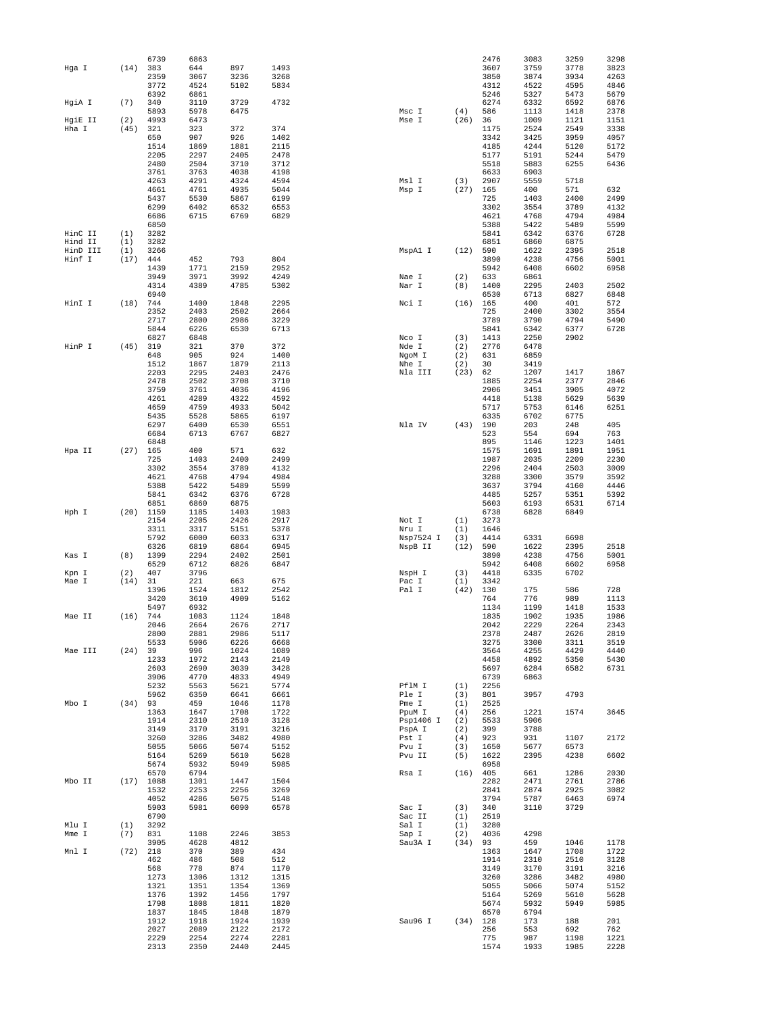|          |      | 6739         | 6863         |              |              |           |            | 2476        | 3083        | 3259         | 3298         |
|----------|------|--------------|--------------|--------------|--------------|-----------|------------|-------------|-------------|--------------|--------------|
| Hga I    | (14) | 383          | 644          | 897          | 1493         |           |            | 3607        | 3759        | 3778         | 3823         |
|          |      | 2359         | 3067         | 3236         | 3268         |           |            | 3850        | 3874        | 3934         | 4263         |
|          |      | 3772         | 4524         | 5102         | 5834         |           |            | 4312        | 4522        | 4595         | 4846         |
|          |      | 6392         | 6861         |              |              |           |            | 5246        | 5327        | 5473         | 5679         |
| HqiA I   | (7)  | 340          | 3110         | 3729         | 4732         |           |            | 6274        | 6332        | 6592         | 6876         |
|          |      | 5893         | 5978         |              |              |           |            | 586         | 1113        |              |              |
|          |      |              |              | 6475         |              | Msc I     | (4)        |             |             | 1418         | 2378         |
| HgiE II  | (2)  | 4993         | 6473         |              |              | Mse I     | (26)       | 36          | 1009        | 1121         | 1151         |
| Hha I    | (45) | 321          | 323          | 372          | 374          |           |            | 1175        | 2524        | 2549         | 3338         |
|          |      | 650          | 907          | 926          | 1402         |           |            | 3342        | 3425        | 3959         | 4057         |
|          |      | 1514         | 1869         | 1881         | 2115         |           |            | 4185        | 4244        | 5120         | 5172         |
|          |      | 2205         | 2297         | 2405         | 2478         |           |            | 5177        | 5191        | 5244         | 5479         |
|          |      | 2480         | 2504         | 3710         | 3712         |           |            | 5518        | 5883        | 6255         | 6436         |
|          |      | 3761         | 3763         | 4038         | 4198         |           |            | 6633        | 6903        |              |              |
|          |      | 4263         | 4291         | 4324         | 4594         | Msl I     | (3)        | 2907        | 5559        | 5718         |              |
|          |      | 4661         | 4761         | 4935         | 5044         | Msp I     | $(27)$ 165 |             | 400         | 571          | 632          |
|          |      |              |              |              |              |           |            | 725         |             |              | 2499         |
|          |      | 5437         | 5530         | 5867         | 6199         |           |            |             | 1403        | 2400         |              |
|          |      | 6299         | 6402         | 6532         | 6553         |           |            | 3302        | 3554        | 3789         | 4132         |
|          |      | 6686         | 6715         | 6769         | 6829         |           |            | 4621        | 4768        | 4794         | 4984         |
|          |      | 6850         |              |              |              |           |            | 5388        | 5422        | 5489         | 5599         |
| HinC II  | (1)  | 3282         |              |              |              |           |            | 5841        | 6342        | 6376         | 6728         |
| Hind II  | (1)  | 3282         |              |              |              |           |            | 6851        | 6860        | 6875         |              |
| HinD III | (1)  | 3266         |              |              |              | MspAl I   | (12)       | 590         | 1622        | 2395         | 2518         |
| Hinf I   | (17) | 444          | 452          | 793          | 804          |           |            | 3890        | 4238        | 4756         | 5001         |
|          |      | 1439         | 1771         | 2159         | 2952         |           |            | 5942        | 6408        | 6602         | 6958         |
|          |      | 3949         | 3971         | 3992         | 4249         | Nae I     | (2)        | 633         | 6861        |              |              |
|          |      | 4314         | 4389         | 4785         | 5302         | Nar I     | (8)        | 1400        | 2295        | 2403         | 2502         |
|          |      | 6940         |              |              |              |           |            | 6530        | 6713        | 6827         | 6848         |
|          |      |              |              |              | 2295         |           |            |             |             |              |              |
| HinI I   | (18) | 744          | 1400         | 1848         |              | Nci I     | (16)       | 165         | 400         | 401          | 572          |
|          |      | 2352         | 2403         | 2502         | 2664         |           |            | 725         | 2400        | 3302         | 3554         |
|          |      | 2717         | 2800         | 2986         | 3229         |           |            | 3789        | 3790        | 4794         | 5490         |
|          |      | 5844         | 6226         | 6530         | 6713         |           |            | 5841        | 6342        | 6377         | 6728         |
|          |      | 6827         | 6848         |              |              | Nco I     | (3)        | 1413        | 2250        | 2902         |              |
| HinP I   | (45) | 319          | 321          | 370          | 372          | Nde I     | (2)        | 2776        | 6478        |              |              |
|          |      | 648          | 905          | 924          | 1400         | NgoM I    | (2)        | 631         | 6859        |              |              |
|          |      | 1512         | 1867         | 1879         | 2113         | Nhe I     | (2)        | 30          | 3419        |              |              |
|          |      | 2203         | 2295         | 2403         | 2476         | Nla III   | (23)       | 62          | 1207        | 1417         | 1867         |
|          |      |              |              |              |              |           |            |             |             |              |              |
|          |      | 2478         | 2502         | 3708         | 3710         |           |            | 1885        | 2254        | 2377         | 2846         |
|          |      | 3759         | 3761         | 4036         | 4196         |           |            | 2906        | 3451        | 3905         | 4072         |
|          |      | 4261         | 4289         | 4322         | 4592         |           |            | 4418        | 5138        | 5629         | 5639         |
|          |      | 4659         | 4759         | 4933         | 5042         |           |            | 5717        | 5753        | 6146         | 6251         |
|          |      | 5435         | 5528         | 5865         | 6197         |           |            | 6335        | 6702        | 6775         |              |
|          |      | 6297         | 6400         | 6530         | 6551         | Nla IV    | (43)       | 190         | 203         | 248          | 405          |
|          |      | 6684         | 6713         | 6767         | 6827         |           |            | 523         | 554         | 694          | 763          |
|          |      | 6848         |              |              |              |           |            | 895         | 1146        | 1223         | 1401         |
|          |      |              |              |              |              |           |            |             |             |              |              |
| Hpa II   | (27) | 165          | 400          | 571          | 632          |           |            | 1575        | 1691        | 1891         | 1951         |
|          |      | 725          | 1403         | 2400         | 2499         |           |            | 1987        | 2035        | 2209         | 2230         |
|          |      | 3302         | 3554         | 3789         | 4132         |           |            | 2296        | 2404        | 2503         | 3009         |
|          |      | 4621         | 4768         | 4794         | 4984         |           |            | 3288        | 3300        | 3579         | 3592         |
|          |      | 5388         | 5422         | 5489         | 5599         |           |            | 3637        | 3794        | 4160         | 4446         |
|          |      | 5841         | 6342         | 6376         | 6728         |           |            | 4485        | 5257        | 5351         | 5392         |
|          |      |              |              |              |              |           |            |             |             |              |              |
|          |      |              |              |              |              |           |            |             |             |              |              |
|          |      | 6851         | 6860         | 6875         |              |           |            | 5603        | 6193        | 6531         | 6714         |
| Hph I    | (20) | 1159         | 1185         | 1403         | 1983         |           |            | 6738        | 6828        | 6849         |              |
|          |      | 2154         | 2205         | 2426         | 2917         | Not I     | (1)        | 3273        |             |              |              |
|          |      | 3311         | 3317         | 5151         | 5378         | Nru I     | (1)        | 1646        |             |              |              |
|          |      | 5792         | 6000         | 6033         | 6317         | Nsp7524 I | (3)        | 4414        | 6331        | 6698         |              |
|          |      | 6326         | 6819         | 6864         | 6945         | NspB II   | (12)       | 590         | 1622        | 2395         | 2518         |
| Kas I    | (8)  | 1399         | 2294         | 2402         | 2501         |           |            | 3890        | 4238        | 4756         | 5001         |
|          |      | 6529         | 6712         | 6826         | 6847         |           |            | 5942        | 6408        | 6602         | 6958         |
| Kpn I    | (2)  | 407          | 3796         |              |              |           | (3)        | 4418        | 6335        | 6702         |              |
| Mae I    | (14) | 31           | 221          | 663          | 675          | NspH I    | (1)        | 3342        |             |              |              |
|          |      |              |              |              |              | Pac I     |            |             |             |              |              |
|          |      | 1396         | 1524         | 1812         | 2542         | Pal I     | (42)       | 130         | 175         | 586          | 728          |
|          |      | 3420         | 3610         | 4909         | 5162         |           |            | 764         | 776         | 989          | 1113         |
|          |      | 5497         | 6932         |              |              |           |            | 1134        | 1199        | 1418         | 1533         |
| Mae II   | (16) | 744          | 1083         | 1124         | 1848         |           |            | 1835        | 1902        | 1935         | 1986         |
|          |      | 2046         | 2664         | 2676         | 2717         |           |            | 2042        | 2229        | 2264         | 2343         |
|          |      | 2800         | 2881         | 2986         | 5117         |           |            | 2378        | 2487        | 2626         | 2819         |
|          |      | 5533         | 5906         | 6226         | 6668         |           |            | 3275        | 3300        | 3311         | 3519         |
| Mae III  | (24) | 39           | 996          | 1024         | 1089         |           |            | 3564        | 4255        | 4429         | 4440         |
|          |      | 1233         | 1972         | 2143         | 2149         |           |            | 4458        | 4892        | 5350         | 5430         |
|          |      | 2603         | 2690         | 3039         | 3428         |           |            | 5697        | 6284        | 6582         | 6731         |
|          |      | 3906         | 4770         | 4833         | 4949         |           |            | 6739        | 6863        |              |              |
|          |      | 5232         |              |              | 5774         | PflM I    |            | 2256        |             |              |              |
|          |      |              | 5563         | 5621         |              |           | (1)        |             |             |              |              |
|          |      | 5962         | 6350         | 6641         | 6661         | Ple I     | (3)        | 801         | 3957        | 4793         |              |
| Mbo I    | (34) | 93           | 459          | 1046         | 1178         | Pme I     | (1)        | 2525        |             |              |              |
|          |      | 1363         | 1647         | 1708         | 1722         | PpuM I    | (4)        | 256         | 1221        | 1574         | 3645         |
|          |      | 1914         | 2310         | 2510         | 3128         | Psp1406 I | (2)        | 5533        | 5906        |              |              |
|          |      | 3149         | 3170         | 3191         | 3216         | PspA I    | (2)        | 399         | 3788        |              |              |
|          |      | 3260         | 3286         | 3482         | 4980         | Pst I     | (4)        | 923         | 931         | 1107         | 2172         |
|          |      | 5055         | 5066         | 5074         | 5152         | Pvu I     | (3)        | 1650        | 5677        | 6573         |              |
|          |      | 5164         | 5269         | 5610         | 5628         | Pvu II    | (5)        | 1622        | 2395        | 4238         | 6602         |
|          |      | 5674         | 5932         | 5949         |              |           |            | 6958        |             |              |              |
|          |      |              |              |              | 5985         |           |            |             |             |              |              |
|          |      | 6570         | 6794         |              |              | Rsa I     | (16)       | 405         | 661         | 1286         | 2030         |
| Mbo II   |      | $(17)$ 1088  | 1301         | 1447         | 1504         |           |            | 2282        | 2471        | 2761         | 2786         |
|          |      | 1532         | 2253         | 2256         | 3269         |           |            | 2841        | 2874        | 2925         | 3082         |
|          |      | 4052         | 4286         | 5075         | 5148         |           |            | 3794        | 5787        | 6463         | 6974         |
|          |      | 5903         | 5981         | 6090         | 6578         | Sac I     | (3)        | 340         | 3110        | 3729         |              |
|          |      | 6790         |              |              |              | Sac II    | (1)        | 2519        |             |              |              |
| Mlu I    | (1)  | 3292         |              |              |              | Sal I     | (1)        | 3280        |             |              |              |
|          |      |              |              | 2246         | 3853         |           |            |             | 4298        |              |              |
| Mme I    | (7)  | 831          | 1108         |              |              | Sap I     | (2)        | 4036        |             |              |              |
|          |      | 3905         | 4628         | 4812         |              | Sau3A I   | $(34)$ 93  |             | 459         | 1046         | 1178         |
| Mnl I    | (72) | 218          | 370          | 389          | 434          |           |            | 1363        | 1647        | 1708         | 1722         |
|          |      | 462          | 486          | 508          | 512          |           |            | 1914        | 2310        | 2510         | 3128         |
|          |      | 568          | 778          | 874          | 1170         |           |            | 3149        | 3170        | 3191         | 3216         |
|          |      | 1273         | 1306         | 1312         | 1315         |           |            | 3260        | 3286        | 3482         | 4980         |
|          |      | 1321         | 1351         | 1354         | 1369         |           |            |             | 5066        | 5074         | 5152         |
|          |      |              |              |              |              |           |            | 5055        |             |              |              |
|          |      | 1376         | 1392         | 1456         | 1797         |           |            | 5164        | 5269        | 5610         | 5628         |
|          |      | 1798         | 1808         | 1811         | 1820         |           |            | 5674        | 5932        | 5949         | 5985         |
|          |      | 1837         | 1845         | 1848         | 1879         |           |            | 6570        | 6794        |              |              |
|          |      | 1912         | 1918         | 1924         | 1939         | Sau96 I   | $(34)$ 128 |             | 173         | 188          | 201          |
|          |      | 2027         | 2089         | 2122         | 2172         |           |            | 256         | 553         | 692          | 762          |
|          |      | 2229<br>2313 | 2254<br>2350 | 2274<br>2440 | 2281<br>2445 |           |            | 775<br>1574 | 987<br>1933 | 1198<br>1985 | 1221<br>2228 |